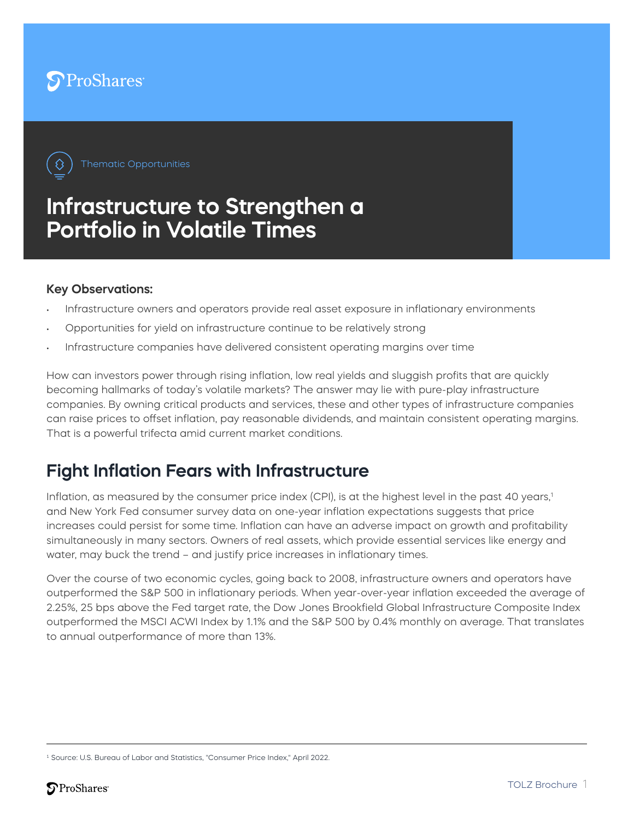



# **Infrastructure to Strengthen a Portfolio in Volatile Times**

#### **Key Observations:**

- Infrastructure owners and operators provide real asset exposure in inflationary environments
- Opportunities for yield on infrastructure continue to be relatively strong
- Infrastructure companies have delivered consistent operating margins over time

How can investors power through rising inflation, low real yields and sluggish profits that are quickly becoming hallmarks of today's volatile markets? The answer may lie with pure-play infrastructure companies. By owning critical products and services, these and other types of infrastructure companies can raise prices to offset inflation, pay reasonable dividends, and maintain consistent operating margins. That is a powerful trifecta amid current market conditions.

## **Fight Inflation Fears with Infrastructure**

Inflation, as measured by the consumer price index (CPI), is at the highest level in the past 40 years,<sup>1</sup> and New York Fed consumer survey data on one-year inflation expectations suggests that price increases could persist for some time. Inflation can have an adverse impact on growth and profitability simultaneously in many sectors. Owners of real assets, which provide essential services like energy and water, may buck the trend – and justify price increases in inflationary times.

Over the course of two economic cycles, going back to 2008, infrastructure owners and operators have outperformed the S&P 500 in inflationary periods. When year-over-year inflation exceeded the average of 2.25%, 25 bps above the Fed target rate, the Dow Jones Brookfield Global Infrastructure Composite Index outperformed the MSCI ACWI Index by 1.1% and the S&P 500 by 0.4% monthly on average. That translates to annual outperformance of more than 13%.

<sup>&</sup>lt;sup>1</sup> Source: U.S. Bureau of Labor and Statistics, "Consumer Price Index," April 2022.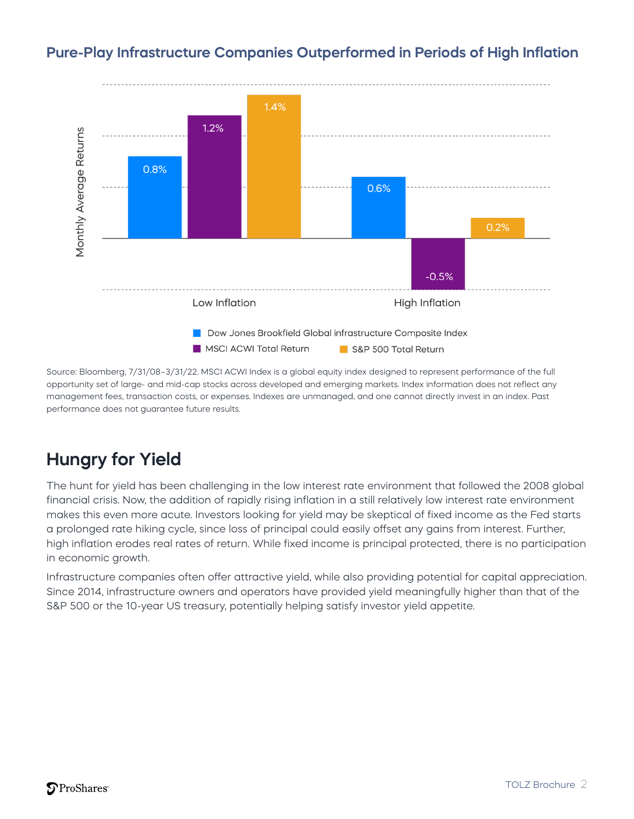

#### **Pure-Play Infrastructure Companies Outperformed in Periods of High Inflation**

Source: Bloomberg, 7/31/08–3/31/22. MSCI ACWI Index is a global equity index designed to represent performance of the full opportunity set of large- and mid-cap stocks across developed and emerging markets. Index information does not reflect any management fees, transaction costs, or expenses. Indexes are unmanaged, and one cannot directly invest in an index. Past performance does not guarantee future results.

# **Hungry for Yield**

The hunt for yield has been challenging in the low interest rate environment that followed the 2008 global financial crisis. Now, the addition of rapidly rising inflation in a still relatively low interest rate environment makes this even more acute. Investors looking for yield may be skeptical of fixed income as the Fed starts a prolonged rate hiking cycle, since loss of principal could easily offset any gains from interest. Further, high inflation erodes real rates of return. While fixed income is principal protected, there is no participation in economic growth.

Infrastructure companies often offer attractive yield, while also providing potential for capital appreciation. Since 2014, infrastructure owners and operators have provided yield meaningfully higher than that of the S&P 500 or the 10-year US treasury, potentially helping satisfy investor yield appetite.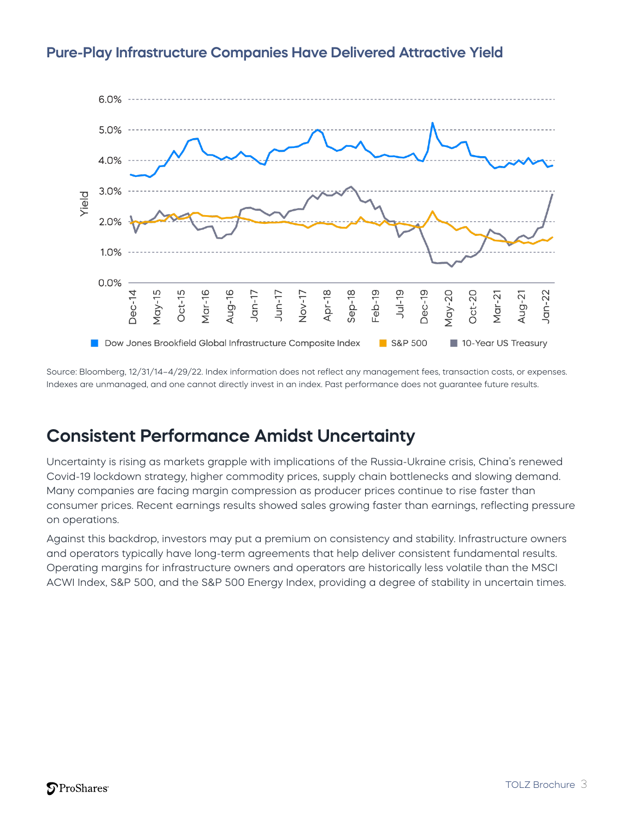

#### **Pure-Play Infrastructure Companies Have Delivered Attractive Yield**

Source: Bloomberg, 12/31/14–4/29/22. Index information does not reflect any management fees, transaction costs, or expenses. Indexes are unmanaged, and one cannot directly invest in an index. Past performance does not guarantee future results.

## **Consistent Performance Amidst Uncertainty**

Uncertainty is rising as markets grapple with implications of the Russia-Ukraine crisis, China's renewed Covid-19 lockdown strategy, higher commodity prices, supply chain bottlenecks and slowing demand. Many companies are facing margin compression as producer prices continue to rise faster than consumer prices. Recent earnings results showed sales growing faster than earnings, reflecting pressure on operations.

Against this backdrop, investors may put a premium on consistency and stability. Infrastructure owners and operators typically have long-term agreements that help deliver consistent fundamental results. Operating margins for infrastructure owners and operators are historically less volatile than the MSCI ACWI Index, S&P 500, and the S&P 500 Energy Index, providing a degree of stability in uncertain times.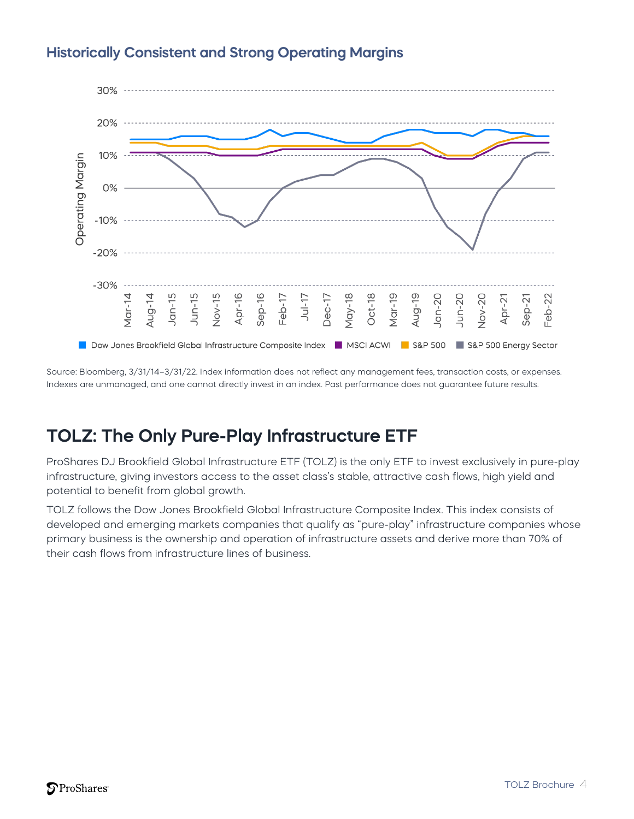

#### **Historically Consistent and Strong Operating Margins**

Source: Bloomberg, 3/31/14–3/31/22. Index information does not reflect any management fees, transaction costs, or expenses. Indexes are unmanaged, and one cannot directly invest in an index. Past performance does not guarantee future results.

## **TOLZ: The Only Pure-Play Infrastructure ETF**

ProShares DJ Brookfield Global Infrastructure ETF (TOLZ) is the only ETF to invest exclusively in pure-play infrastructure, giving investors access to the asset class's stable, attractive cash flows, high yield and potential to benefit from global growth.

TOLZ follows the Dow Jones Brookfield Global Infrastructure Composite Index. This index consists of developed and emerging markets companies that qualify as "pure-play" infrastructure companies whose primary business is the ownership and operation of infrastructure assets and derive more than 70% of their cash flows from infrastructure lines of business.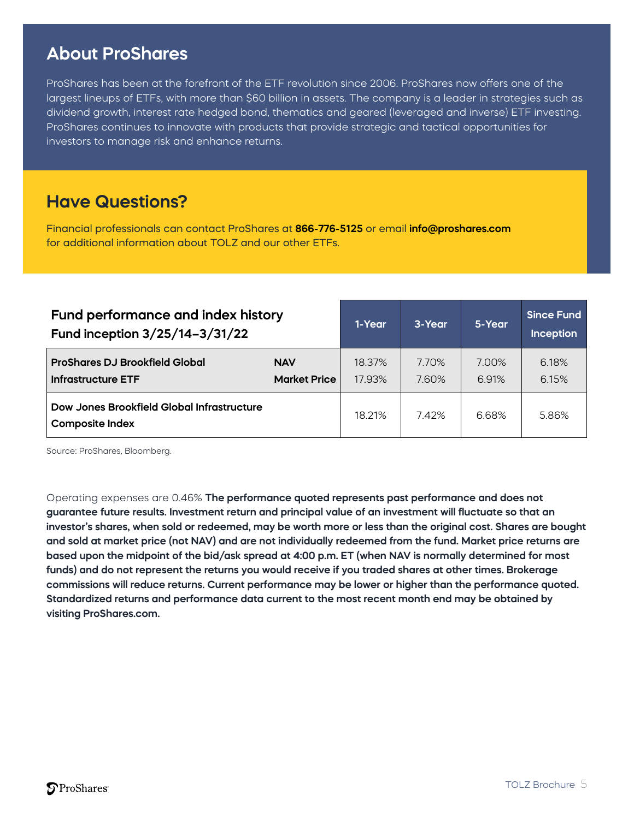## **Important ProShares**

ProShares has been at the forefront of the ETF revolution since 2006. ProShares now offers one of the largest lineups of ETFs, with more than \$60 billion in assets. The company is a leader in strategies such as dividend growth, interest rate hedged bond, thematics and geared (leveraged and inverse) ETF investing. ProShares continues to innovate with products that provide strategic and tactical opportunities for investors to manage risk and enhance returns.

#### **Have Questions?**

Financial professionals can contact ProShares at **866-776-5125** or email **info@proshares.com** for additional information about TOLZ and our other ETFs.

| Fund performance and index history<br>Fund inception 3/25/14-3/31/22 |                                   | 1-Year           | 3-Year         | 5-Year         | <b>Since Fund</b><br>Inception |
|----------------------------------------------------------------------|-----------------------------------|------------------|----------------|----------------|--------------------------------|
| <b>ProShares DJ Brookfield Global</b><br><b>Infrastructure ETF</b>   | <b>NAV</b><br><b>Market Price</b> | 18.37%<br>17.93% | 7.70%<br>7.60% | 7.00%<br>6.91% | 6.18%<br>6.15%                 |
| Dow Jones Brookfield Global Infrastructure<br><b>Composite Index</b> |                                   | 18.21%           | 7.42%          | 6.68%          | 5.86%                          |

Source: ProShares, Bloomberg.

Operating expenses are 0.46% **The performance quoted represents past performance and does not guarantee future results. Investment return and principal value of an investment will fluctuate so that an investor's shares, when sold or redeemed, may be worth more or less than the original cost. Shares are bought and sold at market price (not NAV) and are not individually redeemed from the fund. Market price returns are based upon the midpoint of the bid/ask spread at 4:00 p.m. ET (when NAV is normally determined for most funds) and do not represent the returns you would receive if you traded shares at other times. Brokerage commissions will reduce returns. Current performance may be lower or higher than the performance quoted. Standardized returns and performance data current to the most recent month end may be obtained by visiting ProShares.com.**